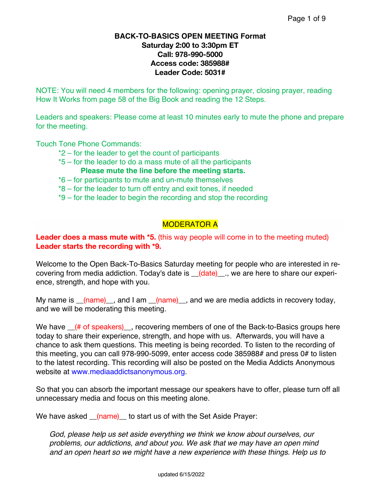### **BACK-TO-BASICS OPEN MEETING Format Saturday 2:00 to 3:30pm ET Call: 978-990-5000 Access code: 385988# Leader Code: 5031#**

NOTE: You will need 4 members for the following: opening prayer, closing prayer, reading How It Works from page 58 of the Big Book and reading the 12 Steps.

Leaders and speakers: Please come at least 10 minutes early to mute the phone and prepare for the meeting.

Touch Tone Phone Commands:

- \*2 for the leader to get the count of participants
- \*5 for the leader to do a mass mute of all the participants **Please mute the line before the meeting starts.**
- \*6 for participants to mute and un-mute themselves
- \*8 for the leader to turn off entry and exit tones, if needed
- \*9 for the leader to begin the recording and stop the recording

## MODERATOR A

### **Leader does a mass mute with \*5.** (this way people will come in to the meeting muted) **Leader starts the recording with \*9.**

Welcome to the Open Back-To-Basics Saturday meeting for people who are interested in recovering from media addiction. Today's date is \_\_(date)\_\_., we are here to share our experience, strength, and hope with you.

My name is  $_{(name)}$ , and I am  $_{(name)}$ , and we are media addicts in recovery today, and we will be moderating this meeting.

We have  $($  # of speakers)  $\overline{\phantom{a}}$ , recovering members of one of the Back-to-Basics groups here today to share their experience, strength, and hope with us. Afterwards, you will have a chance to ask them questions. This meeting is being recorded. To listen to the recording of this meeting, you can call 978-990-5099, enter access code 385988# and press 0# to listen to the latest recording. This recording will also be posted on the Media Addicts Anonymous website at www.mediaaddictsanonymous.org.

So that you can absorb the important message our speakers have to offer, please turn off all unnecessary media and focus on this meeting alone.

We have asked (name) to start us of with the Set Aside Prayer:

*God, please help us set aside everything we think we know about ourselves, our problems, our addictions, and about you. We ask that we may have an open mind and an open heart so we might have a new experience with these things. Help us to*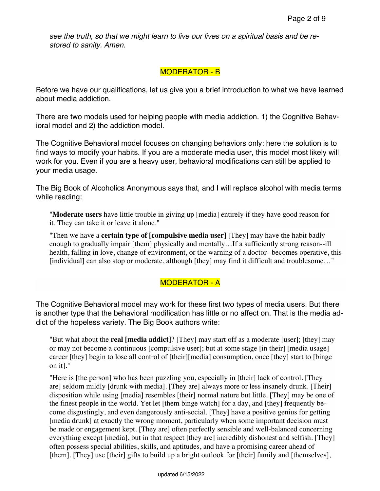*see the truth, so that we might learn to live our lives on a spiritual basis and be restored to sanity. Amen.*

## MODERATOR - B

Before we have our qualifications, let us give you a brief introduction to what we have learned about media addiction.

There are two models used for helping people with media addiction. 1) the Cognitive Behavioral model and 2) the addiction model.

The Cognitive Behavioral model focuses on changing behaviors only: here the solution is to find ways to modify your habits. If you are a moderate media user, this model most likely will work for you. Even if you are a heavy user, behavioral modifications can still be applied to your media usage.

The Big Book of Alcoholics Anonymous says that, and I will replace alcohol with media terms while reading:

"**Moderate users** have little trouble in giving up [media] entirely if they have good reason for it. They can take it or leave it alone."

"Then we have a **certain type of [compulsive media user]** [They] may have the habit badly enough to gradually impair [them] physically and mentally…If a sufficiently strong reason--ill health, falling in love, change of environment, or the warning of a doctor--becomes operative, this [individual] can also stop or moderate, although [they] may find it difficult and troublesome…"

## MODERATOR - A

The Cognitive Behavioral model may work for these first two types of media users. But there is another type that the behavioral modification has little or no affect on. That is the media addict of the hopeless variety. The Big Book authors write:

"But what about the **real [media addict]**? [They] may start off as a moderate [user]; [they] may or may not become a continuous [compulsive user]; but at some stage [in their] [media usage] career [they] begin to lose all control of [their][media] consumption, once [they] start to [binge on it]."

"Here is [the person] who has been puzzling you, especially in [their] lack of control. [They are] seldom mildly [drunk with media]. [They are] always more or less insanely drunk. [Their] disposition while using [media] resembles [their] normal nature but little. [They] may be one of the finest people in the world. Yet let [them binge watch] for a day, and [they] frequently become disgustingly, and even dangerously anti-social. [They] have a positive genius for getting [media drunk] at exactly the wrong moment, particularly when some important decision must be made or engagement kept. [They are] often perfectly sensible and well-balanced concerning everything except [media], but in that respect [they are] incredibly dishonest and selfish. [They] often possess special abilities, skills, and aptitudes, and have a promising career ahead of [them]. [They] use [their] gifts to build up a bright outlook for [their] family and [themselves],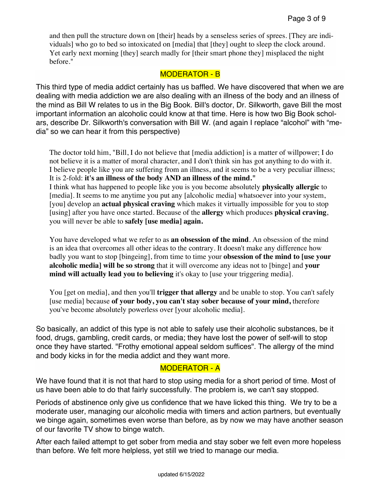and then pull the structure down on [their] heads by a senseless series of sprees. [They are individuals] who go to bed so intoxicated on [media] that [they] ought to sleep the clock around. Yet early next morning [they] search madly for [their smart phone they] misplaced the night before."

## MODERATOR - B

This third type of media addict certainly has us baffled. We have discovered that when we are dealing with media addiction we are also dealing with an illness of the body and an illness of the mind as Bill W relates to us in the Big Book. Bill's doctor, Dr. Silkworth, gave Bill the most important information an alcoholic could know at that time. Here is how two Big Book scholars, describe Dr. Silkworth's conversation with Bill W. (and again I replace "alcohol" with "media" so we can hear it from this perspective)

The doctor told him, "Bill, I do not believe that [media addiction] is a matter of willpower; I do not believe it is a matter of moral character, and I don't think sin has got anything to do with it. I believe people like you are suffering from an illness, and it seems to be a very peculiar illness; It is 2-fold: **it's an illness of the body AND an illness of the mind."** I think what has happened to people like you is you become absolutely **physically allergic** to [media]. It seems to me anytime you put any [alcoholic media] whatsoever into your system, [you] develop an **actual physical craving** which makes it virtually impossible for you to stop [using] after you have once started. Because of the **allergy** which produces **physical craving**, you will never be able to **safely [use media] again.**

You have developed what we refer to as **an obsession of the mind**. An obsession of the mind is an idea that overcomes all other ideas to the contrary. It doesn't make any difference how badly you want to stop [bingeing], from time to time your **obsession of the mind to [use your alcoholic media] will be so strong** that it will overcome any ideas not to [binge] and **your mind will actually lead you to believing** it's okay to [use your triggering media].

You [get on media], and then you'll **trigger that allergy** and be unable to stop. You can't safely [use media] because **of your body, you can't stay sober because of your mind,** therefore you've become absolutely powerless over [your alcoholic media].

So basically, an addict of this type is not able to safely use their alcoholic substances, be it food, drugs, gambling, credit cards, or media; they have lost the power of self-will to stop once they have started. "Frothy emotional appeal seldom suffices". The allergy of the mind and body kicks in for the media addict and they want more.

## MODERATOR - A

We have found that it is not that hard to stop using media for a short period of time. Most of us have been able to do that fairly successfully. The problem is, we can't say stopped.

Periods of abstinence only give us confidence that we have licked this thing. We try to be a moderate user, managing our alcoholic media with timers and action partners, but eventually we binge again, sometimes even worse than before, as by now we may have another season of our favorite TV show to binge watch.

After each failed attempt to get sober from media and stay sober we felt even more hopeless than before. We felt more helpless, yet still we tried to manage our media.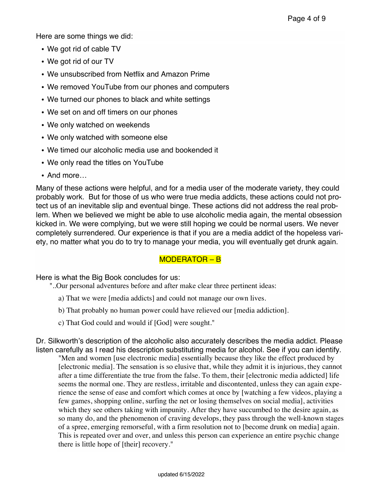Here are some things we did:

- We got rid of cable TV
- We got rid of our TV
- We unsubscribed from Netflix and Amazon Prime
- We removed YouTube from our phones and computers
- We turned our phones to black and white settings
- We set on and off timers on our phones
- We only watched on weekends
- We only watched with someone else
- We timed our alcoholic media use and bookended it
- We only read the titles on YouTube
- And more…

Many of these actions were helpful, and for a media user of the moderate variety, they could probably work. But for those of us who were true media addicts, these actions could not protect us of an inevitable slip and eventual binge. These actions did not address the real problem. When we believed we might be able to use alcoholic media again, the mental obsession kicked in. We were complying, but we were still hoping we could be normal users. We never completely surrendered. Our experience is that if you are a media addict of the hopeless variety, no matter what you do to try to manage your media, you will eventually get drunk again.

# MODERATOR – B

Here is what the Big Book concludes for us:

- "..Our personal adventures before and after make clear three pertinent ideas:
	- a) That we were [media addicts] and could not manage our own lives.
	- b) That probably no human power could have relieved our [media addiction].
	- c) That God could and would if [God] were sought."

Dr. Silkworth's description of the alcoholic also accurately describes the media addict. Please listen carefully as I read his description substituting media for alcohol. See if you can identify.

"Men and women [use electronic media] essentially because they like the effect produced by [electronic media]. The sensation is so elusive that, while they admit it is injurious, they cannot after a time differentiate the true from the false. To them, their [electronic media addicted] life seems the normal one. They are restless, irritable and discontented, unless they can again experience the sense of ease and comfort which comes at once by [watching a few videos, playing a few games, shopping online, surfing the net or losing themselves on social media], activities which they see others taking with impunity. After they have succumbed to the desire again, as so many do, and the phenomenon of craving develops, they pass through the well-known stages of a spree, emerging remorseful, with a firm resolution not to [become drunk on media] again. This is repeated over and over, and unless this person can experience an entire psychic change there is little hope of [their] recovery."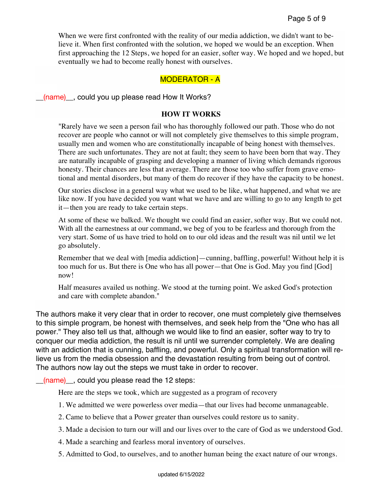When we were first confronted with the reality of our media addiction, we didn't want to believe it. When first confronted with the solution, we hoped we would be an exception. When first approaching the 12 Steps, we hoped for an easier, softer way. We hoped and we hoped, but eventually we had to become really honest with ourselves.

#### MODERATOR - A

\_\_(name)\_\_, could you up please read How It Works?

#### **HOW IT WORKS**

"Rarely have we seen a person fail who has thoroughly followed our path. Those who do not recover are people who cannot or will not completely give themselves to this simple program, usually men and women who are constitutionally incapable of being honest with themselves. There are such unfortunates. They are not at fault; they seem to have been born that way. They are naturally incapable of grasping and developing a manner of living which demands rigorous honesty. Their chances are less that average. There are those too who suffer from grave emotional and mental disorders, but many of them do recover if they have the capacity to be honest.

Our stories disclose in a general way what we used to be like, what happened, and what we are like now. If you have decided you want what we have and are willing to go to any length to get it—then you are ready to take certain steps.

At some of these we balked. We thought we could find an easier, softer way. But we could not. With all the earnestness at our command, we beg of you to be fearless and thorough from the very start. Some of us have tried to hold on to our old ideas and the result was nil until we let go absolutely.

Remember that we deal with [media addiction]—cunning, baffling, powerful! Without help it is too much for us. But there is One who has all power—that One is God. May you find [God] now!

Half measures availed us nothing. We stood at the turning point. We asked God's protection and care with complete abandon."

The authors make it very clear that in order to recover, one must completely give themselves to this simple program, be honest with themselves, and seek help from the "One who has all power." They also tell us that, although we would like to find an easier, softer way to try to conquer our media addiction, the result is nil until we surrender completely. We are dealing with an addiction that is cunning, baffling, and powerful. Only a spiritual transformation will relieve us from the media obsession and the devastation resulting from being out of control. The authors now lay out the steps we must take in order to recover.

 $(name)$ , could you please read the 12 steps:

Here are the steps we took, which are suggested as a program of recovery

- 1. We admitted we were powerless over media—that our lives had become unmanageable.
- 2. Came to believe that a Power greater than ourselves could restore us to sanity.
- 3. Made a decision to turn our will and our lives over to the care of God as we understood God.
- 4. Made a searching and fearless moral inventory of ourselves.
- 5. Admitted to God, to ourselves, and to another human being the exact nature of our wrongs.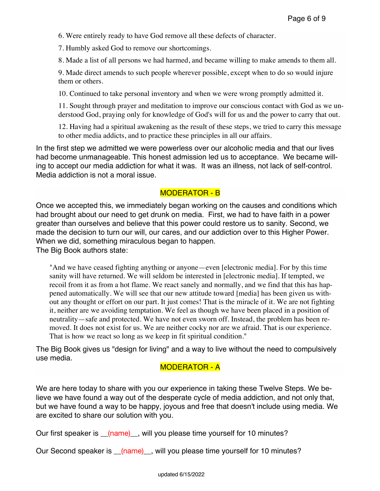6. Were entirely ready to have God remove all these defects of character.

7. Humbly asked God to remove our shortcomings.

8. Made a list of all persons we had harmed, and became willing to make amends to them all.

9. Made direct amends to such people wherever possible, except when to do so would injure them or others.

10. Continued to take personal inventory and when we were wrong promptly admitted it.

11. Sought through prayer and meditation to improve our conscious contact with God as we understood God, praying only for knowledge of God's will for us and the power to carry that out.

12. Having had a spiritual awakening as the result of these steps, we tried to carry this message to other media addicts, and to practice these principles in all our affairs.

In the first step we admitted we were powerless over our alcoholic media and that our lives had become unmanageable. This honest admission led us to acceptance. We became willing to accept our media addiction for what it was. It was an illness, not lack of self-control. Media addiction is not a moral issue.

## MODERATOR - B

Once we accepted this, we immediately began working on the causes and conditions which had brought about our need to get drunk on media. First, we had to have faith in a power greater than ourselves and believe that this power could restore us to sanity. Second, we made the decision to turn our will, our cares, and our addiction over to this Higher Power. When we did, something miraculous began to happen.

The Big Book authors state:

"And we have ceased fighting anything or anyone—even [electronic media]. For by this time sanity will have returned. We will seldom be interested in [electronic media]. If tempted, we recoil from it as from a hot flame. We react sanely and normally, and we find that this has happened automatically. We will see that our new attitude toward [media] has been given us without any thought or effort on our part. It just comes! That is the miracle of it. We are not fighting it, neither are we avoiding temptation. We feel as though we have been placed in a position of neutrality—safe and protected. We have not even sworn off. Instead, the problem has been removed. It does not exist for us. We are neither cocky nor are we afraid. That is our experience. That is how we react so long as we keep in fit spiritual condition."

The Big Book gives us "design for living" and a way to live without the need to compulsively use media.

## MODERATOR - A

We are here today to share with you our experience in taking these Twelve Steps. We believe we have found a way out of the desperate cycle of media addiction, and not only that, but we have found a way to be happy, joyous and free that doesn't include using media. We are excited to share our solution with you.

Our first speaker is (name), will you please time yourself for 10 minutes?

Our Second speaker is \_\_(name)\_, will you please time yourself for 10 minutes?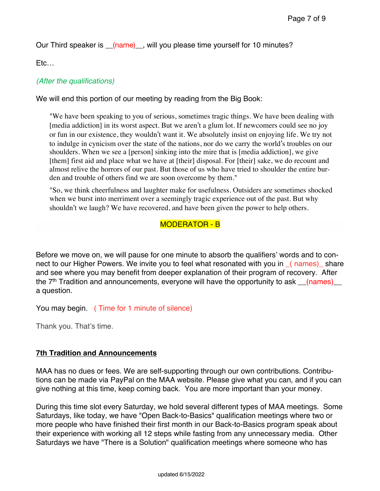Our Third speaker is \_\_(name)\_, will you please time yourself for 10 minutes?

Etc…

## *(After the qualifications)*

We will end this portion of our meeting by reading from the Big Book:

"We have been speaking to you of serious, sometimes tragic things. We have been dealing with [media addiction] in its worst aspect. But we aren't a glum lot. If newcomers could see no joy or fun in our existence, they wouldn't want it. We absolutely insist on enjoying life. We try not to indulge in cynicism over the state of the nations, nor do we carry the world's troubles on our shoulders. When we see a [person] sinking into the mire that is [media addiction], we give [them] first aid and place what we have at [their] disposal. For [their] sake, we do recount and almost relive the horrors of our past. But those of us who have tried to shoulder the entire burden and trouble of others find we are soon overcome by them."

"So, we think cheerfulness and laughter make for usefulness. Outsiders are sometimes shocked when we burst into merriment over a seemingly tragic experience out of the past. But why shouldn't we laugh? We have recovered, and have been given the power to help others.

## MODERATOR - B

Before we move on, we will pause for one minute to absorb the qualifiers' words and to connect to our Higher Powers. We invite you to feel what resonated with you in ( names) share and see where you may benefit from deeper explanation of their program of recovery. After the  $7<sup>th</sup>$  Tradition and announcements, everyone will have the opportunity to ask  $(names)$ a question.

You may begin. ( Time for 1 minute of silence)

Thank you. That's time.

### **7th Tradition and Announcements**

MAA has no dues or fees. We are self-supporting through our own contributions. Contributions can be made via PayPal on the MAA website. Please give what you can, and if you can give nothing at this time, keep coming back. You are more important than your money.

During this time slot every Saturday, we hold several different types of MAA meetings. Some Saturdays, like today, we have "Open Back-to-Basics" qualification meetings where two or more people who have finished their first month in our Back-to-Basics program speak about their experience with working all 12 steps while fasting from any unnecessary media. Other Saturdays we have "There is a Solution" qualification meetings where someone who has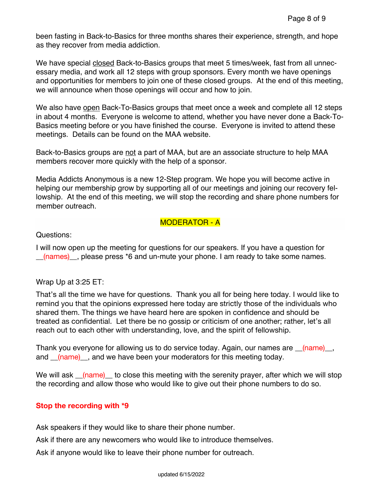been fasting in Back-to-Basics for three months shares their experience, strength, and hope as they recover from media addiction.

We have special closed Back-to-Basics groups that meet 5 times/week, fast from all unnecessary media, and work all 12 steps with group sponsors. Every month we have openings and opportunities for members to join one of these closed groups. At the end of this meeting, we will announce when those openings will occur and how to join.

We also have open Back-To-Basics groups that meet once a week and complete all 12 steps in about 4 months. Everyone is welcome to attend, whether you have never done a Back-To-Basics meeting before or you have finished the course. Everyone is invited to attend these meetings. Details can be found on the MAA website.

Back-to-Basics groups are not a part of MAA, but are an associate structure to help MAA members recover more quickly with the help of a sponsor.

Media Addicts Anonymous is a new 12-Step program. We hope you will become active in helping our membership grow by supporting all of our meetings and joining our recovery fellowship. At the end of this meeting, we will stop the recording and share phone numbers for member outreach.

## MODERATOR - A

Questions:

I will now open up the meeting for questions for our speakers. If you have a question for (names) please press \*6 and un-mute your phone. I am ready to take some names.

### Wrap Up at 3:25 ET:

That's all the time we have for questions. Thank you all for being here today. I would like to remind you that the opinions expressed here today are strictly those of the individuals who shared them. The things we have heard here are spoken in confidence and should be treated as confidential. Let there be no gossip or criticism of one another; rather, let's all reach out to each other with understanding, love, and the spirit of fellowship.

Thank you everyone for allowing us to do service today. Again, our names are  $\frac{1}{2}$  (name), and *(name)*, and we have been your moderators for this meeting today.

We will ask <u>(name)</u> to close this meeting with the serenity prayer, after which we will stop the recording and allow those who would like to give out their phone numbers to do so.

### **Stop the recording with \*9**

Ask speakers if they would like to share their phone number.

Ask if there are any newcomers who would like to introduce themselves.

Ask if anyone would like to leave their phone number for outreach.